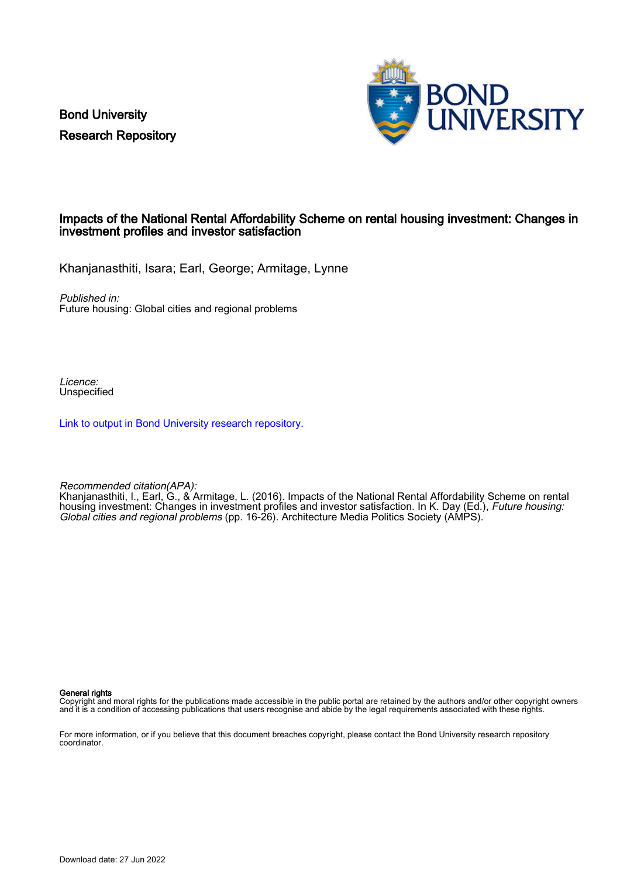Bond University Research Repository



# Impacts of the National Rental Affordability Scheme on rental housing investment: Changes in investment profiles and investor satisfaction

Khanjanasthiti, Isara; Earl, George; Armitage, Lynne

Published in:

Future housing: Global cities and regional problems

Licence: Unspecified

[Link to output in Bond University research repository.](https://research.bond.edu.au/en/publications/71da32f6-86e7-4a68-8bd9-09a8a4120d1d)

Recommended citation(APA):

Khanjanasthiti, I., Earl, G., & Armitage, L. (2016). Impacts of the National Rental Affordability Scheme on rental housing investment: Changes in investment profiles and investor satisfaction. In K. Day (Ed.), Future housing: Global cities and regional problems (pp. 16-26). Architecture Media Politics Society (AMPS).

General rights

Copyright and moral rights for the publications made accessible in the public portal are retained by the authors and/or other copyright owners and it is a condition of accessing publications that users recognise and abide by the legal requirements associated with these rights.

For more information, or if you believe that this document breaches copyright, please contact the Bond University research repository coordinator.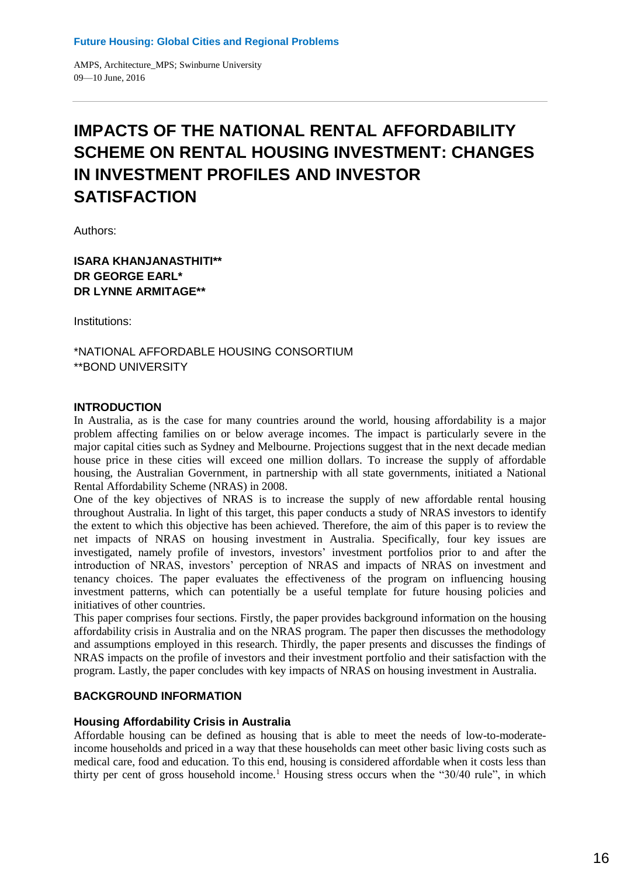# **IMPACTS OF THE NATIONAL RENTAL AFFORDABILITY SCHEME ON RENTAL HOUSING INVESTMENT: CHANGES IN INVESTMENT PROFILES AND INVESTOR SATISFACTION**

Authors:

# **ISARA KHANJANASTHITI\*\* DR GEORGE EARL\* DR LYNNE ARMITAGE\*\***

Institutions:

\*NATIONAL AFFORDABLE HOUSING CONSORTIUM \*\*BOND UNIVERSITY

## **INTRODUCTION**

In Australia, as is the case for many countries around the world, housing affordability is a major problem affecting families on or below average incomes. The impact is particularly severe in the major capital cities such as Sydney and Melbourne. Projections suggest that in the next decade median house price in these cities will exceed one million dollars. To increase the supply of affordable housing, the Australian Government, in partnership with all state governments, initiated a National Rental Affordability Scheme (NRAS) in 2008.

One of the key objectives of NRAS is to increase the supply of new affordable rental housing throughout Australia. In light of this target, this paper conducts a study of NRAS investors to identify the extent to which this objective has been achieved. Therefore, the aim of this paper is to review the net impacts of NRAS on housing investment in Australia. Specifically, four key issues are investigated, namely profile of investors, investors' investment portfolios prior to and after the introduction of NRAS, investors' perception of NRAS and impacts of NRAS on investment and tenancy choices. The paper evaluates the effectiveness of the program on influencing housing investment patterns, which can potentially be a useful template for future housing policies and initiatives of other countries.

This paper comprises four sections. Firstly, the paper provides background information on the housing affordability crisis in Australia and on the NRAS program. The paper then discusses the methodology and assumptions employed in this research. Thirdly, the paper presents and discusses the findings of NRAS impacts on the profile of investors and their investment portfolio and their satisfaction with the program. Lastly, the paper concludes with key impacts of NRAS on housing investment in Australia.

## **BACKGROUND INFORMATION**

## **Housing Affordability Crisis in Australia**

Affordable housing can be defined as housing that is able to meet the needs of low-to-moderateincome households and priced in a way that these households can meet other basic living costs such as medical care, food and education. To this end, housing is considered affordable when it costs less than thirty per cent of gross household income.<sup>1</sup> Housing stress occurs when the " $30/40$  rule", in which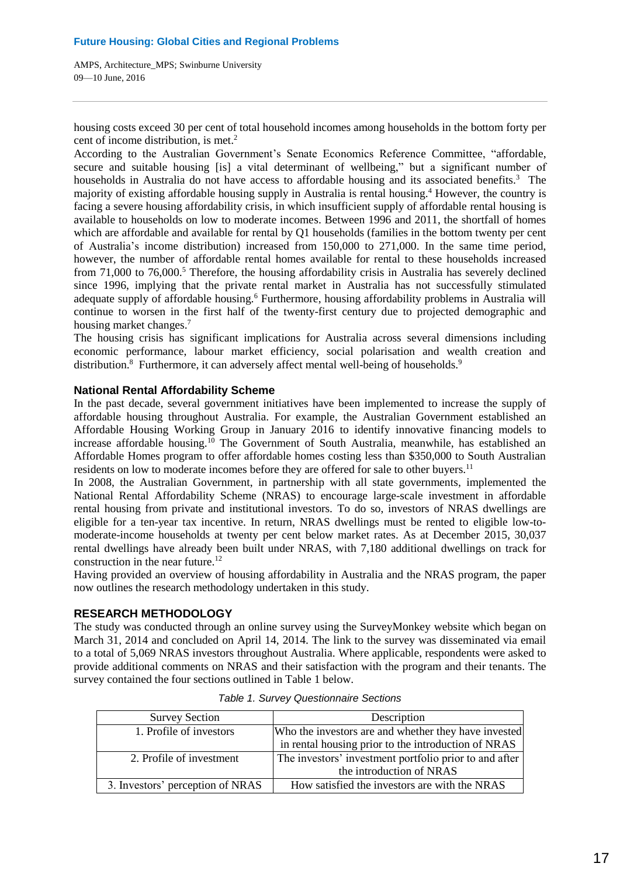housing costs exceed 30 per cent of total household incomes among households in the bottom forty per cent of income distribution, is met. 2

According to the Australian Government's Senate Economics Reference Committee, "affordable, secure and suitable housing [is] a vital determinant of wellbeing," but a significant number of households in Australia do not have access to affordable housing and its associated benefits.<sup>3</sup> The majority of existing affordable housing supply in Australia is rental housing. <sup>4</sup> However, the country is facing a severe housing affordability crisis, in which insufficient supply of affordable rental housing is available to households on low to moderate incomes. Between 1996 and 2011, the shortfall of homes which are affordable and available for rental by Q1 households (families in the bottom twenty per cent of Australia's income distribution) increased from 150,000 to 271,000. In the same time period, however, the number of affordable rental homes available for rental to these households increased from  $71,000$  to  $76,000$ .<sup>5</sup> Therefore, the housing affordability crisis in Australia has severely declined since 1996, implying that the private rental market in Australia has not successfully stimulated adequate supply of affordable housing.<sup>6</sup> Furthermore, housing affordability problems in Australia will continue to worsen in the first half of the twenty-first century due to projected demographic and housing market changes.<sup>7</sup>

The housing crisis has significant implications for Australia across several dimensions including economic performance, labour market efficiency, social polarisation and wealth creation and distribution.<sup>8</sup> Furthermore, it can adversely affect mental well-being of households.<sup>9</sup>

## **National Rental Affordability Scheme**

In the past decade, several government initiatives have been implemented to increase the supply of affordable housing throughout Australia. For example, the Australian Government established an Affordable Housing Working Group in January 2016 to identify innovative financing models to increase affordable housing.<sup>10</sup> The Government of South Australia, meanwhile, has established an Affordable Homes program to offer affordable homes costing less than \$350,000 to South Australian residents on low to moderate incomes before they are offered for sale to other buyers.<sup>11</sup>

In 2008, the Australian Government, in partnership with all state governments, implemented the National Rental Affordability Scheme (NRAS) to encourage large-scale investment in affordable rental housing from private and institutional investors. To do so, investors of NRAS dwellings are eligible for a ten-year tax incentive. In return, NRAS dwellings must be rented to eligible low-tomoderate-income households at twenty per cent below market rates. As at December 2015, 30,037 rental dwellings have already been built under NRAS, with 7,180 additional dwellings on track for construction in the near future.<sup>12</sup>

Having provided an overview of housing affordability in Australia and the NRAS program, the paper now outlines the research methodology undertaken in this study.

# **RESEARCH METHODOLOGY**

The study was conducted through an online survey using the SurveyMonkey website which began on March 31, 2014 and concluded on April 14, 2014. The link to the survey was disseminated via email to a total of 5,069 NRAS investors throughout Australia. Where applicable, respondents were asked to provide additional comments on NRAS and their satisfaction with the program and their tenants. The survey contained the four sections outlined in Table 1 below.

| <b>Survey Section</b>            | Description                                            |
|----------------------------------|--------------------------------------------------------|
| 1. Profile of investors          | Who the investors are and whether they have invested   |
|                                  | in rental housing prior to the introduction of NRAS    |
| 2. Profile of investment         | The investors' investment portfolio prior to and after |
|                                  | the introduction of NRAS                               |
| 3. Investors' perception of NRAS | How satisfied the investors are with the NRAS          |

*Table 1. Survey Questionnaire Sections*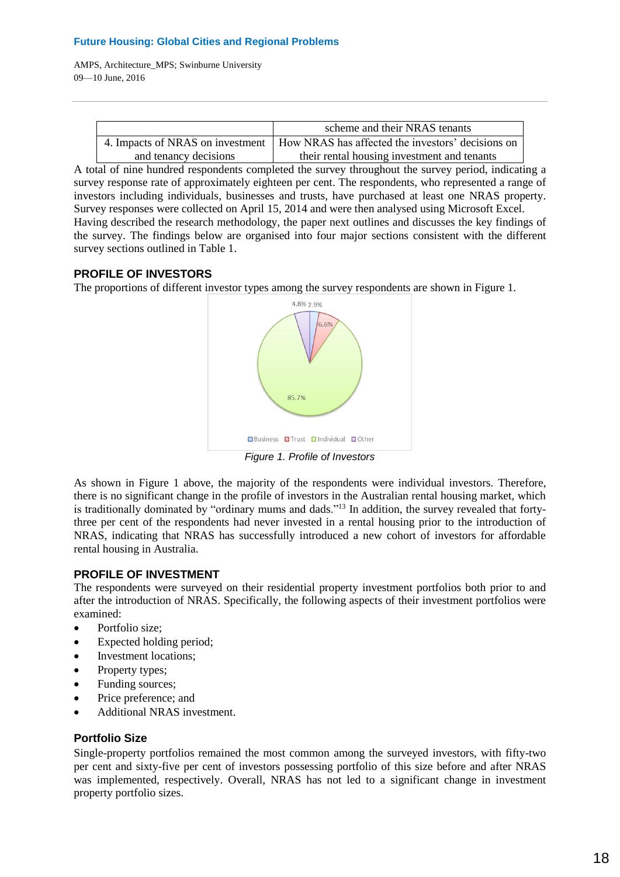AMPS, Architecture\_MPS; Swinburne University 09—10 June, 2016

|                       | scheme and their NRAS tenants                                                        |
|-----------------------|--------------------------------------------------------------------------------------|
|                       | 4. Impacts of NRAS on investment   How NRAS has affected the investors' decisions on |
| and tenancy decisions | their rental housing investment and tenants                                          |

A total of nine hundred respondents completed the survey throughout the survey period, indicating a survey response rate of approximately eighteen per cent. The respondents, who represented a range of investors including individuals, businesses and trusts, have purchased at least one NRAS property. Survey responses were collected on April 15, 2014 and were then analysed using Microsoft Excel. Having described the research methodology, the paper next outlines and discusses the key findings of the survey. The findings below are organised into four major sections consistent with the different survey sections outlined in Table 1.

# **PROFILE OF INVESTORS**

The proportions of different investor types among the survey respondents are shown in Figure 1.



*Figure 1. Profile of Investors*

As shown in Figure 1 above, the majority of the respondents were individual investors. Therefore, there is no significant change in the profile of investors in the Australian rental housing market, which is traditionally dominated by "ordinary mums and dads."<sup>13</sup> In addition, the survey revealed that fortythree per cent of the respondents had never invested in a rental housing prior to the introduction of NRAS, indicating that NRAS has successfully introduced a new cohort of investors for affordable rental housing in Australia.

# **PROFILE OF INVESTMENT**

The respondents were surveyed on their residential property investment portfolios both prior to and after the introduction of NRAS. Specifically, the following aspects of their investment portfolios were examined:

- Portfolio size;
- Expected holding period;
- Investment locations;
- Property types;
- Funding sources;
- Price preference; and
- Additional NRAS investment.

# **Portfolio Size**

Single-property portfolios remained the most common among the surveyed investors, with fifty-two per cent and sixty-five per cent of investors possessing portfolio of this size before and after NRAS was implemented, respectively. Overall, NRAS has not led to a significant change in investment property portfolio sizes.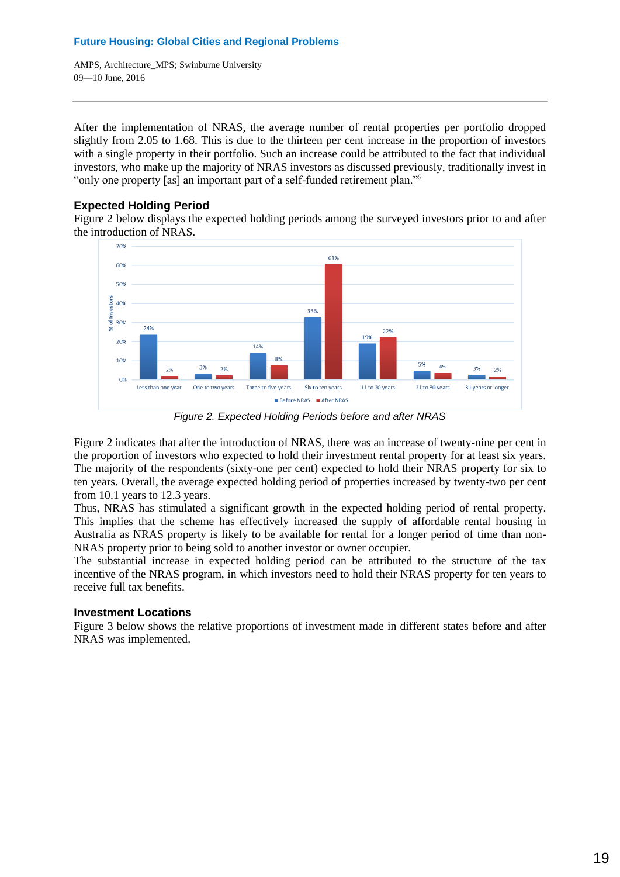AMPS, Architecture\_MPS; Swinburne University 09—10 June, 2016

After the implementation of NRAS, the average number of rental properties per portfolio dropped slightly from 2.05 to 1.68. This is due to the thirteen per cent increase in the proportion of investors with a single property in their portfolio. Such an increase could be attributed to the fact that individual investors, who make up the majority of NRAS investors as discussed previously, traditionally invest in "only one property [as] an important part of a self-funded retirement plan."<sup>5</sup>

# **Expected Holding Period**

Figure 2 below displays the expected holding periods among the surveyed investors prior to and after the introduction of NRAS.



*Figure 2. Expected Holding Periods before and after NRAS*

Figure 2 indicates that after the introduction of NRAS, there was an increase of twenty-nine per cent in the proportion of investors who expected to hold their investment rental property for at least six years. The majority of the respondents (sixty-one per cent) expected to hold their NRAS property for six to ten years. Overall, the average expected holding period of properties increased by twenty-two per cent from 10.1 years to 12.3 years.

Thus, NRAS has stimulated a significant growth in the expected holding period of rental property. This implies that the scheme has effectively increased the supply of affordable rental housing in Australia as NRAS property is likely to be available for rental for a longer period of time than non-NRAS property prior to being sold to another investor or owner occupier.

The substantial increase in expected holding period can be attributed to the structure of the tax incentive of the NRAS program, in which investors need to hold their NRAS property for ten years to receive full tax benefits.

## **Investment Locations**

Figure 3 below shows the relative proportions of investment made in different states before and after NRAS was implemented.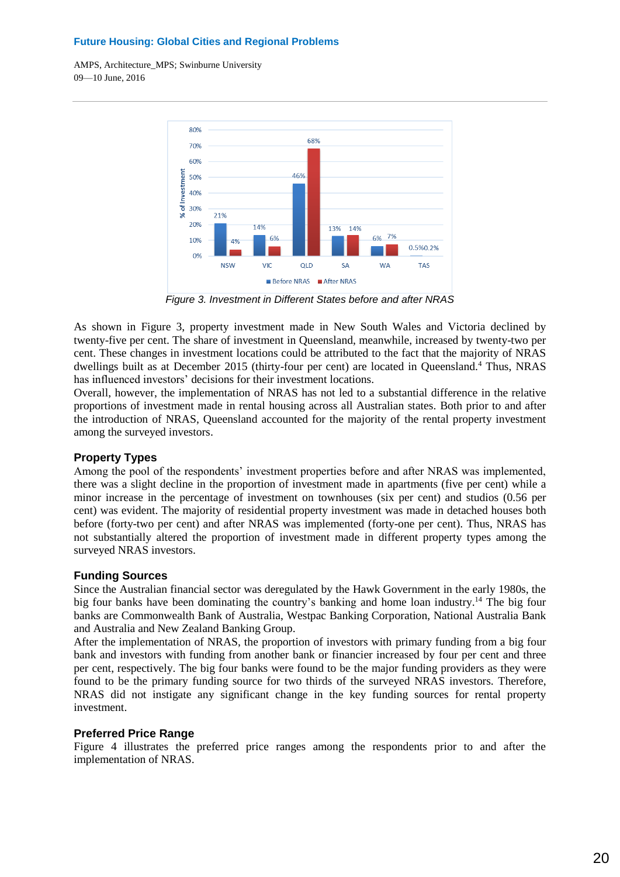AMPS, Architecture\_MPS; Swinburne University 09—10 June, 2016



*Figure 3. Investment in Different States before and after NRAS*

As shown in Figure 3, property investment made in New South Wales and Victoria declined by twenty-five per cent. The share of investment in Queensland, meanwhile, increased by twenty-two per cent. These changes in investment locations could be attributed to the fact that the majority of NRAS dwellings built as at December 2015 (thirty-four per cent) are located in Queensland.<sup>4</sup> Thus, NRAS has influenced investors' decisions for their investment locations.

Overall, however, the implementation of NRAS has not led to a substantial difference in the relative proportions of investment made in rental housing across all Australian states. Both prior to and after the introduction of NRAS, Queensland accounted for the majority of the rental property investment among the surveyed investors.

## **Property Types**

Among the pool of the respondents' investment properties before and after NRAS was implemented, there was a slight decline in the proportion of investment made in apartments (five per cent) while a minor increase in the percentage of investment on townhouses (six per cent) and studios (0.56 per cent) was evident. The majority of residential property investment was made in detached houses both before (forty-two per cent) and after NRAS was implemented (forty-one per cent). Thus, NRAS has not substantially altered the proportion of investment made in different property types among the surveyed NRAS investors.

## **Funding Sources**

Since the Australian financial sector was deregulated by the Hawk Government in the early 1980s, the big four banks have been dominating the country's banking and home loan industry.<sup>14</sup> The big four banks are Commonwealth Bank of Australia, Westpac Banking Corporation, National Australia Bank and Australia and New Zealand Banking Group.

After the implementation of NRAS, the proportion of investors with primary funding from a big four bank and investors with funding from another bank or financier increased by four per cent and three per cent, respectively. The big four banks were found to be the major funding providers as they were found to be the primary funding source for two thirds of the surveyed NRAS investors. Therefore, NRAS did not instigate any significant change in the key funding sources for rental property investment.

## **Preferred Price Range**

Figure 4 illustrates the preferred price ranges among the respondents prior to and after the implementation of NRAS.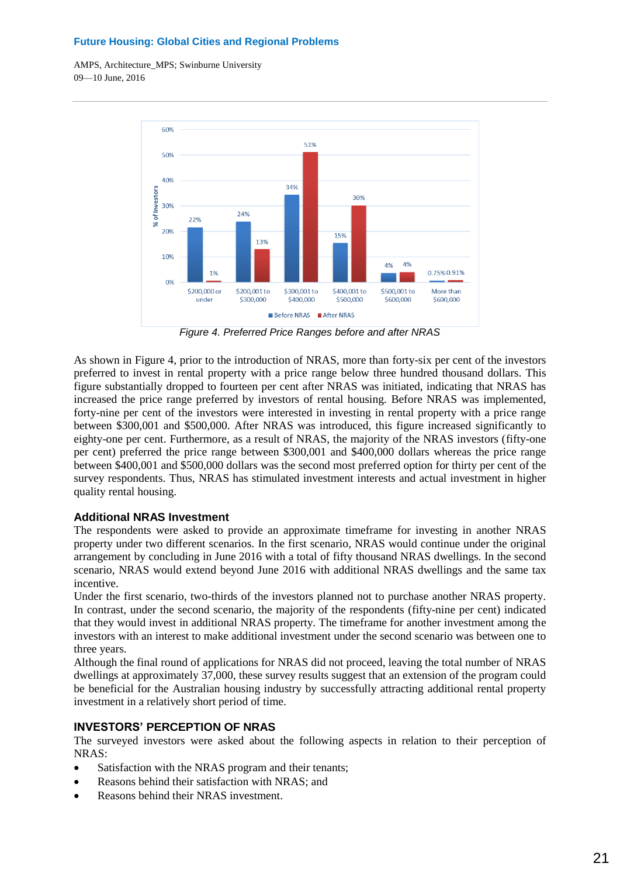AMPS, Architecture\_MPS; Swinburne University 09—10 June, 2016



*Figure 4. Preferred Price Ranges before and after NRAS*

As shown in Figure 4, prior to the introduction of NRAS, more than forty-six per cent of the investors preferred to invest in rental property with a price range below three hundred thousand dollars. This figure substantially dropped to fourteen per cent after NRAS was initiated, indicating that NRAS has increased the price range preferred by investors of rental housing. Before NRAS was implemented, forty-nine per cent of the investors were interested in investing in rental property with a price range between \$300,001 and \$500,000. After NRAS was introduced, this figure increased significantly to eighty-one per cent. Furthermore, as a result of NRAS, the majority of the NRAS investors (fifty-one per cent) preferred the price range between \$300,001 and \$400,000 dollars whereas the price range between \$400,001 and \$500,000 dollars was the second most preferred option for thirty per cent of the survey respondents. Thus, NRAS has stimulated investment interests and actual investment in higher quality rental housing.

# **Additional NRAS Investment**

The respondents were asked to provide an approximate timeframe for investing in another NRAS property under two different scenarios. In the first scenario, NRAS would continue under the original arrangement by concluding in June 2016 with a total of fifty thousand NRAS dwellings. In the second scenario, NRAS would extend beyond June 2016 with additional NRAS dwellings and the same tax incentive.

Under the first scenario, two-thirds of the investors planned not to purchase another NRAS property. In contrast, under the second scenario, the majority of the respondents (fifty-nine per cent) indicated that they would invest in additional NRAS property. The timeframe for another investment among the investors with an interest to make additional investment under the second scenario was between one to three years.

Although the final round of applications for NRAS did not proceed, leaving the total number of NRAS dwellings at approximately 37,000, these survey results suggest that an extension of the program could be beneficial for the Australian housing industry by successfully attracting additional rental property investment in a relatively short period of time.

# **INVESTORS' PERCEPTION OF NRAS**

The surveyed investors were asked about the following aspects in relation to their perception of NRAS:

- Satisfaction with the NRAS program and their tenants;
- Reasons behind their satisfaction with NRAS; and
- Reasons behind their NRAS investment.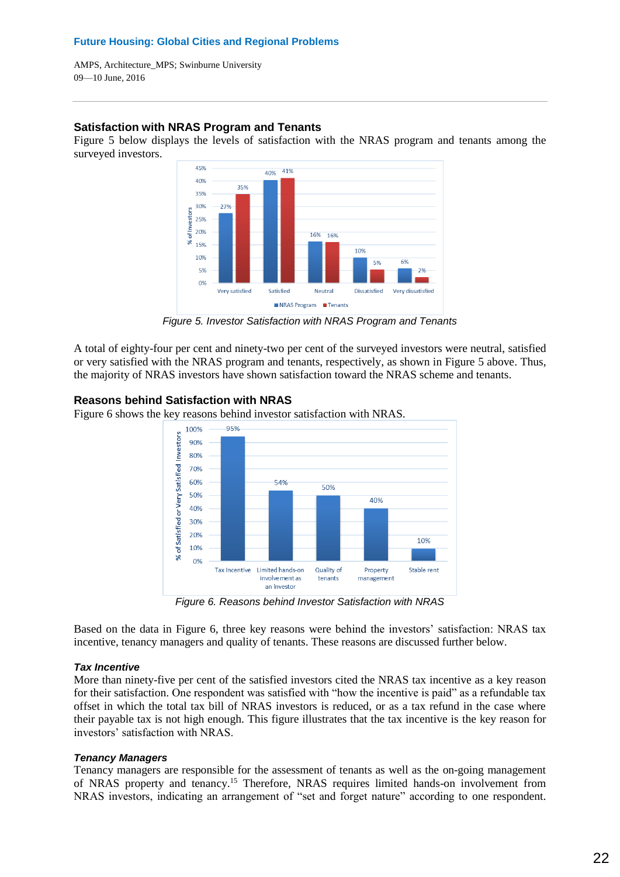AMPS, Architecture\_MPS; Swinburne University 09—10 June, 2016

## **Satisfaction with NRAS Program and Tenants**

Figure 5 below displays the levels of satisfaction with the NRAS program and tenants among the surveyed investors.



*Figure 5. Investor Satisfaction with NRAS Program and Tenants*

A total of eighty-four per cent and ninety-two per cent of the surveyed investors were neutral, satisfied or very satisfied with the NRAS program and tenants, respectively, as shown in Figure 5 above. Thus, the majority of NRAS investors have shown satisfaction toward the NRAS scheme and tenants.

## **Reasons behind Satisfaction with NRAS**

Figure 6 shows the key reasons behind investor satisfaction with NRAS.



*Figure 6. Reasons behind Investor Satisfaction with NRAS*

Based on the data in Figure 6, three key reasons were behind the investors' satisfaction: NRAS tax incentive, tenancy managers and quality of tenants. These reasons are discussed further below.

## *Tax Incentive*

More than ninety-five per cent of the satisfied investors cited the NRAS tax incentive as a key reason for their satisfaction. One respondent was satisfied with "how the incentive is paid" as a refundable tax offset in which the total tax bill of NRAS investors is reduced, or as a tax refund in the case where their payable tax is not high enough. This figure illustrates that the tax incentive is the key reason for investors' satisfaction with NRAS.

## *Tenancy Managers*

Tenancy managers are responsible for the assessment of tenants as well as the on-going management of NRAS property and tenancy. <sup>15</sup> Therefore, NRAS requires limited hands-on involvement from NRAS investors, indicating an arrangement of "set and forget nature" according to one respondent.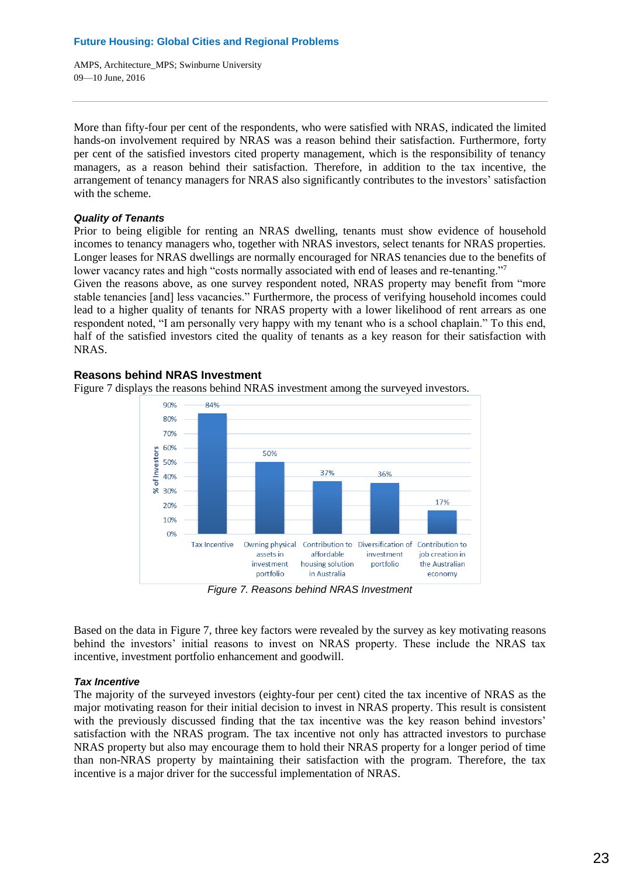More than fifty-four per cent of the respondents, who were satisfied with NRAS, indicated the limited hands-on involvement required by NRAS was a reason behind their satisfaction. Furthermore, forty per cent of the satisfied investors cited property management, which is the responsibility of tenancy managers, as a reason behind their satisfaction. Therefore, in addition to the tax incentive, the arrangement of tenancy managers for NRAS also significantly contributes to the investors' satisfaction with the scheme.

## *Quality of Tenants*

Prior to being eligible for renting an NRAS dwelling, tenants must show evidence of household incomes to tenancy managers who, together with NRAS investors, select tenants for NRAS properties. Longer leases for NRAS dwellings are normally encouraged for NRAS tenancies due to the benefits of lower vacancy rates and high "costs normally associated with end of leases and re-tenanting."7

Given the reasons above, as one survey respondent noted, NRAS property may benefit from "more stable tenancies [and] less vacancies." Furthermore, the process of verifying household incomes could lead to a higher quality of tenants for NRAS property with a lower likelihood of rent arrears as one respondent noted, "I am personally very happy with my tenant who is a school chaplain." To this end, half of the satisfied investors cited the quality of tenants as a key reason for their satisfaction with NRAS.



## **Reasons behind NRAS Investment**

*Figure 7. Reasons behind NRAS Investment*

Based on the data in Figure 7, three key factors were revealed by the survey as key motivating reasons behind the investors' initial reasons to invest on NRAS property. These include the NRAS tax incentive, investment portfolio enhancement and goodwill.

# *Tax Incentive*

The majority of the surveyed investors (eighty-four per cent) cited the tax incentive of NRAS as the major motivating reason for their initial decision to invest in NRAS property. This result is consistent with the previously discussed finding that the tax incentive was the key reason behind investors' satisfaction with the NRAS program. The tax incentive not only has attracted investors to purchase NRAS property but also may encourage them to hold their NRAS property for a longer period of time than non-NRAS property by maintaining their satisfaction with the program. Therefore, the tax incentive is a major driver for the successful implementation of NRAS.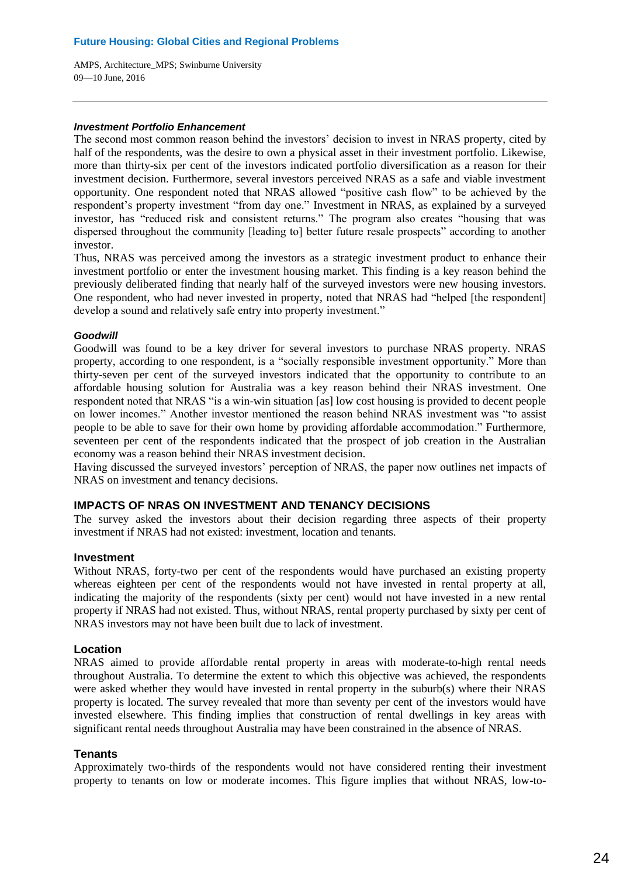#### *Investment Portfolio Enhancement*

The second most common reason behind the investors' decision to invest in NRAS property, cited by half of the respondents, was the desire to own a physical asset in their investment portfolio. Likewise, more than thirty-six per cent of the investors indicated portfolio diversification as a reason for their investment decision. Furthermore, several investors perceived NRAS as a safe and viable investment opportunity. One respondent noted that NRAS allowed "positive cash flow" to be achieved by the respondent's property investment "from day one." Investment in NRAS, as explained by a surveyed investor, has "reduced risk and consistent returns." The program also creates "housing that was dispersed throughout the community [leading to] better future resale prospects" according to another investor.

Thus, NRAS was perceived among the investors as a strategic investment product to enhance their investment portfolio or enter the investment housing market. This finding is a key reason behind the previously deliberated finding that nearly half of the surveyed investors were new housing investors. One respondent, who had never invested in property, noted that NRAS had "helped [the respondent] develop a sound and relatively safe entry into property investment."

## *Goodwill*

Goodwill was found to be a key driver for several investors to purchase NRAS property. NRAS property, according to one respondent, is a "socially responsible investment opportunity." More than thirty-seven per cent of the surveyed investors indicated that the opportunity to contribute to an affordable housing solution for Australia was a key reason behind their NRAS investment. One respondent noted that NRAS "is a win-win situation [as] low cost housing is provided to decent people on lower incomes." Another investor mentioned the reason behind NRAS investment was "to assist people to be able to save for their own home by providing affordable accommodation." Furthermore, seventeen per cent of the respondents indicated that the prospect of job creation in the Australian economy was a reason behind their NRAS investment decision.

Having discussed the surveyed investors' perception of NRAS, the paper now outlines net impacts of NRAS on investment and tenancy decisions.

## **IMPACTS OF NRAS ON INVESTMENT AND TENANCY DECISIONS**

The survey asked the investors about their decision regarding three aspects of their property investment if NRAS had not existed: investment, location and tenants.

## **Investment**

Without NRAS, forty-two per cent of the respondents would have purchased an existing property whereas eighteen per cent of the respondents would not have invested in rental property at all, indicating the majority of the respondents (sixty per cent) would not have invested in a new rental property if NRAS had not existed. Thus, without NRAS, rental property purchased by sixty per cent of NRAS investors may not have been built due to lack of investment.

## **Location**

NRAS aimed to provide affordable rental property in areas with moderate-to-high rental needs throughout Australia. To determine the extent to which this objective was achieved, the respondents were asked whether they would have invested in rental property in the suburb(s) where their NRAS property is located. The survey revealed that more than seventy per cent of the investors would have invested elsewhere. This finding implies that construction of rental dwellings in key areas with significant rental needs throughout Australia may have been constrained in the absence of NRAS.

## **Tenants**

Approximately two-thirds of the respondents would not have considered renting their investment property to tenants on low or moderate incomes. This figure implies that without NRAS, low-to-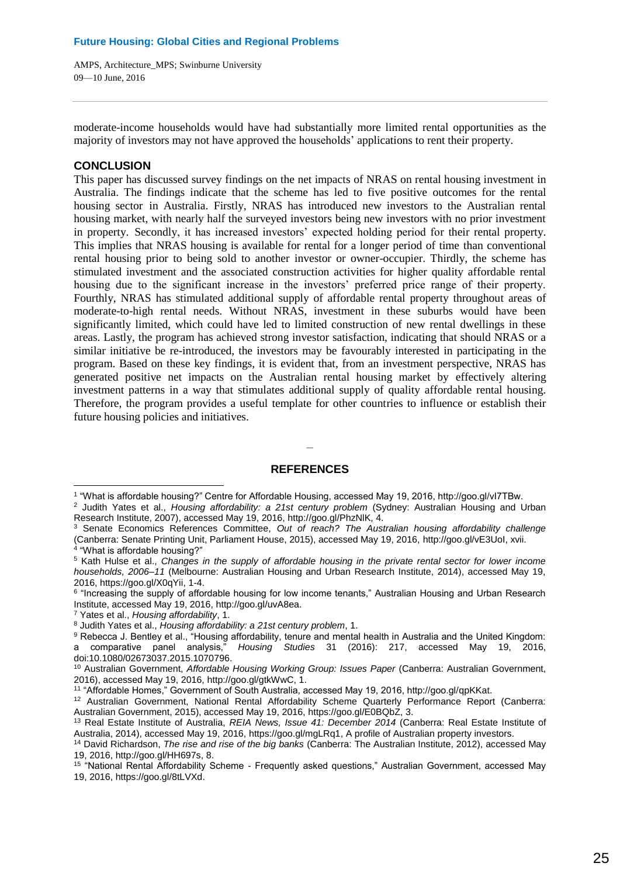moderate-income households would have had substantially more limited rental opportunities as the majority of investors may not have approved the households' applications to rent their property.

## **CONCLUSION**

 $\overline{a}$ 

This paper has discussed survey findings on the net impacts of NRAS on rental housing investment in Australia. The findings indicate that the scheme has led to five positive outcomes for the rental housing sector in Australia. Firstly, NRAS has introduced new investors to the Australian rental housing market, with nearly half the surveyed investors being new investors with no prior investment in property. Secondly, it has increased investors' expected holding period for their rental property. This implies that NRAS housing is available for rental for a longer period of time than conventional rental housing prior to being sold to another investor or owner-occupier. Thirdly, the scheme has stimulated investment and the associated construction activities for higher quality affordable rental housing due to the significant increase in the investors' preferred price range of their property. Fourthly, NRAS has stimulated additional supply of affordable rental property throughout areas of moderate-to-high rental needs. Without NRAS, investment in these suburbs would have been significantly limited, which could have led to limited construction of new rental dwellings in these areas. Lastly, the program has achieved strong investor satisfaction, indicating that should NRAS or a similar initiative be re-introduced, the investors may be favourably interested in participating in the program. Based on these key findings, it is evident that, from an investment perspective, NRAS has generated positive net impacts on the Australian rental housing market by effectively altering investment patterns in a way that stimulates additional supply of quality affordable rental housing. Therefore, the program provides a useful template for other countries to influence or establish their future housing policies and initiatives.

## **REFERENCES**

**\_**

<sup>1</sup> "What is affordable housing?" Centre for Affordable Housing, accessed May 19, 2016, http://goo.gl/vI7TBw.

<sup>2</sup> Judith Yates et al., *Housing affordability: a 21st century problem* (Sydney: Australian Housing and Urban Research Institute, 2007), accessed May 19, 2016, http://goo.gl/PhzNlK, 4.

<sup>3</sup> Senate Economics References Committee, *Out of reach? The Australian housing affordability challenge* (Canberra: Senate Printing Unit, Parliament House, 2015), accessed May 19, 2016, http://goo.gl/vE3UoI, xvii. 4 "What is affordable housing?"

<sup>5</sup> Kath Hulse et al., *Changes in the supply of affordable housing in the private rental sector for lower income households, 2006–11* (Melbourne: Australian Housing and Urban Research Institute, 2014), accessed May 19, 2016, https://goo.gl/X0qYii, 1-4.

<sup>6</sup> "Increasing the supply of affordable housing for low income tenants," Australian Housing and Urban Research Institute, accessed May 19, 2016, http://goo.gl/uvA8ea.

<sup>7</sup> Yates et al., *Housing affordability*, 1.

<sup>8</sup> Judith Yates et al., *Housing affordability: a 21st century problem*, 1.

<sup>&</sup>lt;sup>9</sup> Rebecca J. Bentley et al., "Housing affordability, tenure and mental health in Australia and the United Kingdom:<br>a comparative panel analysis," *Housing Studies* 31 (2016): 217, accessed May 19, 2016, a comparative panel analysis," *Housing Studies* 31 (2016): 217, accessed May 19, 2016, doi:10.1080/02673037.2015.1070796.

<sup>10</sup> Australian Government, *Affordable Housing Working Group: Issues Paper* (Canberra: Australian Government, 2016), accessed May 19, 2016, http://goo.gl/gtkWwC, 1.

<sup>11</sup> "Affordable Homes," Government of South Australia, accessed May 19, 2016, http://goo.gl/qpKKat.

<sup>12</sup> Australian Government, National Rental Affordability Scheme Quarterly Performance Report (Canberra: Australian Government, 2015), accessed May 19, 2016, https://goo.gl/E0BQbZ, 3.

<sup>13</sup> Real Estate Institute of Australia, *REIA News, Issue 41: December 2014* (Canberra: Real Estate Institute of Australia, 2014), accessed May 19, 2016, https://goo.gl/mgLRq1, A profile of Australian property investors.

<sup>14</sup> David Richardson, *The rise and rise of the big banks* (Canberra: The Australian Institute, 2012), accessed May 19, 2016, http://goo.gl/HH697s, 8.

<sup>15</sup> "National Rental Affordability Scheme - Frequently asked questions," Australian Government, accessed May 19, 2016, https://goo.gl/8tLVXd.